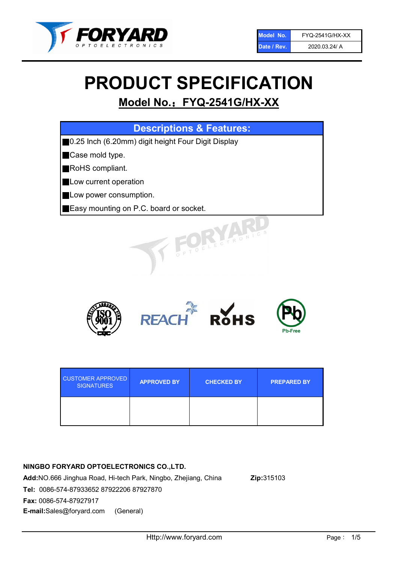

# PRODUCT SPECIFICATION

# Model No.: FYQ-2541G/HX-XX

| <b>Descriptions &amp; Features:</b>                |
|----------------------------------------------------|
| 0.25 Inch (6.20mm) digit height Four Digit Display |
| Case mold type.                                    |
| <b>RoHS</b> compliant.                             |
| Low current operation                              |
| Low power consumption.                             |
| Easy mounting on P.C. board or socket.             |
| TOELECTRONICS                                      |



| <b>CUSTOMER APPROVED</b><br><b>SIGNATURES</b> | <b>APPROVED BY</b> | <b>CHECKED BY</b> | <b>PREPARED BY</b> |
|-----------------------------------------------|--------------------|-------------------|--------------------|
|                                               |                    |                   |                    |

# NINGBO FORYARD OPTOELECTRONICS CO.,LTD.

Add:NO.666 Jinghua Road, Hi-tech Park, Ningbo, Zhejiang, China Zip:315103 Tel: 0086-574-87933652 87922206 87927870 Fax: 0086-574-87927917 E-mail:Sales@foryard.com (General)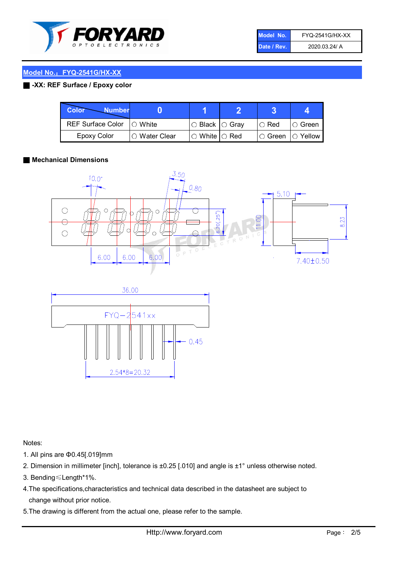

| Model No.   | <b>FYQ-2541G/HX-XX</b> |
|-------------|------------------------|
| Date / Rev. | 2020.03.24/ A          |

# ■ -XX: REF Surface / Epoxy color

| Color<br><b>Number</b>      |                        |                            |          |                |
|-----------------------------|------------------------|----------------------------|----------|----------------|
| REF Surface Color   O White |                        | $\circ$ Black $\circ$ Gray | I⊖ Red   | ∣O Green       |
| Epoxy Color                 | $\bigcirc$ Water Clear | $\circ$ White $\circ$ Red  | I⊖ Green | $\circ$ Yellow |

#### ■ Mechanical Dimensions





Notes:

- 1. All pins are Φ0.45[.019]mm
- 2. Dimension in millimeter [inch], tolerance is ±0.25 [.010] and angle is ±1° unless otherwise noted.
- 3. Bending≤Length\*1%.
- 4.The specifications,characteristics and technical data described in the datasheet are subject to change without prior notice.
- 5.The drawing is different from the actual one, please refer to the sample.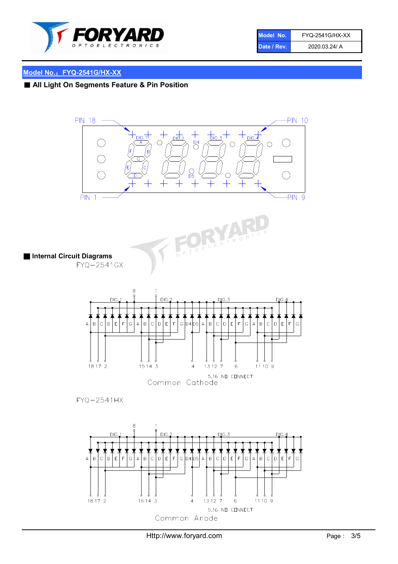

| Model No.   | <b>FYQ-2541G/HX-XX</b> |
|-------------|------------------------|
| Date / Rev. | 2020.03.24/ A          |

# ■ All Light On Segments Feature & Pin Position

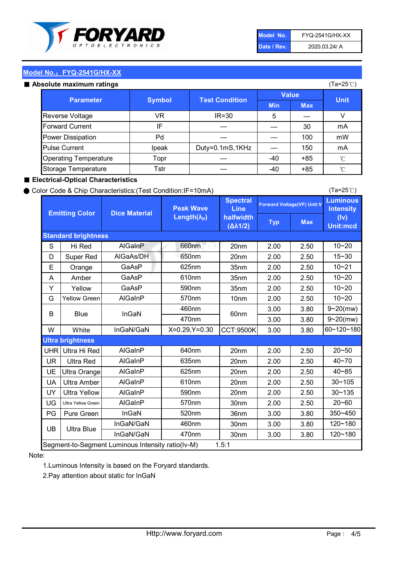

| Model No.   | <b>FYQ-2541G/HX-XX</b> |
|-------------|------------------------|
| Date / Rev. | 2020.03.24/ A          |

#### Absolute maximum ratings

| ISUIULU IIIAAIIIIUIIII TALIIIYS |               |                       |              | (⊺a−∠J ∪ <i>)</i> |              |
|---------------------------------|---------------|-----------------------|--------------|-------------------|--------------|
| <b>Parameter</b>                | <b>Symbol</b> | <b>Test Condition</b> | <b>Value</b> |                   | <b>Unit</b>  |
|                                 |               |                       | <b>Min</b>   | <b>Max</b>        |              |
| Reverse Voltage                 | VR            | $IR = 30$             | 5            |                   |              |
| <b>Forward Current</b>          | ΙF            |                       |              | 30                | mA           |
| Power Dissipation               | Pd            |                       |              | 100               | mW           |
| <b>Pulse Current</b>            | Ipeak         | Duty=0.1mS,1KHz       |              | 150               | mA           |
| <b>Operating Temperature</b>    | Topr          |                       | $-40$        | $+85$             | $^{\circ}$ C |
| Storage Temperature             | Tstr          |                       | $-40$        | $+85$             | °C           |

#### ■ Electrical-Optical Characteristics

#### ● Color Code & Chip Characteristics:(Test Condition:IF=10mA)

Typ Max S | Hi $\textsf{Red}$  | AlGaInP | 660nm LE 20nm | 2.00 | 2.50 D | Super Red | AIGaAs/DH | 650nm | 20nm | 2.00 | 2.50 E | Orange | GaAsP | 625nm | 35nm | 2.00 | 2.50 A | Amber | GaAsP | 610nm | 35nm | 2.00 | 2.50 Y | Yellow | GaAsP | 590nm | 35nm | 2.00 | 2.50 G Yellow Green AIGaInP | 570nm | 10nm | 2.00 | 2.50 3.00 3.80 3.00 3.80 W | White | InGaN/GaN | X=0.29,Y=0.30 |CCT:9500K| 3.00 | 3.80 UHR Ultra Hi Red  $\vert$  AIGaInP  $\vert$  640nm  $\vert$  20nm  $\vert$  2.00  $\vert$  2.50 UR | Ultra Red | AlGaInP | 635nm | 20nm | 2.00 | 2.50 UE Ultra Orange | AIGaInP | 625nm | 20nm | 2.00 | 2.50 UA Ultra Amber | AIGaInP | 610nm | 20nm | 2.00 | 2.50  $UV$  Ultra Yellow  $\vert$  AlGaInP  $\vert$  590nm  $\vert$  20nm  $\vert$  2.00  $\vert$  2.50  $\text{UG}$  Ultra Yellow Green | AIGaInP | 570nm | 30nm | 2.00 | 2.50 PG | Pure Green | InGaN | 520nm | 36nm | 3.00 | 3.80 30nm 3.00 3.80 30nm 3.00 3.80 40~85 60~120~180 40~70 Segment-to-Segment Luminous Intensity ratio(Iv-M) 1.5:1 610nm 9~20(mw) 350~450 470nm 120~180 120~180 Ultra Blue InGaN/GaN 9~20(mw) 20~50 570nm | 30nm | 2.00 | 2.50 | 20~60 470nm 590nm InGaN/GaN B Blue I InGaN 570nm | 10nm | 2.00 | 2.50 | 10~20 30~105 30~135 460nm 520nm Ultra brightness **AlGaInP** AlGaInP 60nm AlGaInP 640nm Peak Wave Length $(\lambda_{\rm P})$ UB 460nm 635nm AlGaInP AlGaInP AlGaInP InGaN/GaN AlGaInP 10~20 Luminous **Intensity** (Iv) Unit:mcd AlGainP 660nm GaAsP GaAsP AlGaAs/DH **Spectral** Line halfwidth (∆λ1/2) 10~20 Standard brightness Forward Voltage(VF) Unit:V 15~30 10~20 625nm GaAsP 590nm **Emitting Color Dice Material** 10~21 610nm

#### Note:

1.Luminous Intensity is based on the Foryard standards.

2.Pay attention about static for InGaN

(Ta=25℃)

(Ta=25℃)